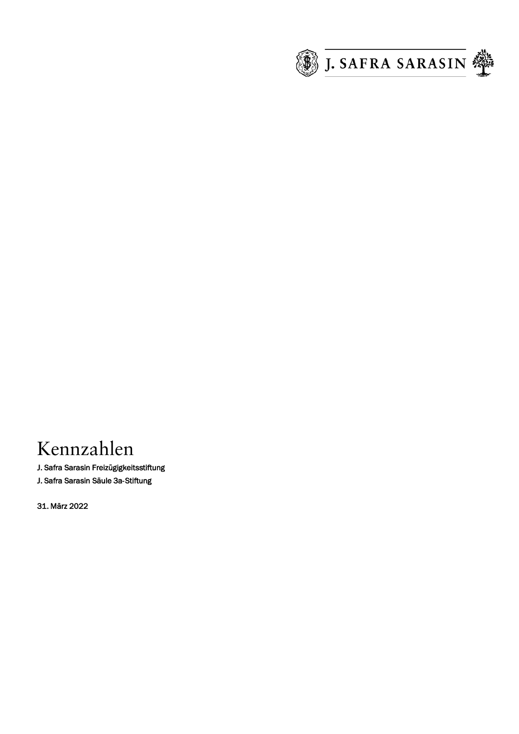

# Kennzahlen

J. Safra Sarasin Freizügigkeitsstiftung

J. Safra Sarasin Säule 3a-Stiftung

31. März 2022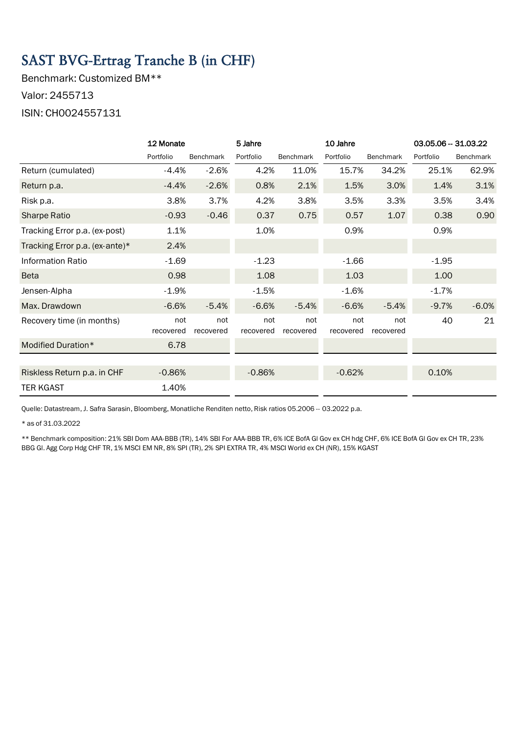# SAST BVG-Ertrag Tranche B (in CHF)

Benchmark: Customized BM\*\* Valor: 2455713 ISIN: CH0024557131

|                                | 12 Monate        |                  | 5 Jahre          |                  | 10 Jahre         |                  | 03.05.06 - 31.03.22 |                  |
|--------------------------------|------------------|------------------|------------------|------------------|------------------|------------------|---------------------|------------------|
|                                | Portfolio        | <b>Benchmark</b> | Portfolio        | <b>Benchmark</b> | Portfolio        | Benchmark        | Portfolio           | <b>Benchmark</b> |
| Return (cumulated)             | $-4.4%$          | $-2.6%$          | 4.2%             | 11.0%            | 15.7%            | 34.2%            | 25.1%               | 62.9%            |
| Return p.a.                    | $-4.4%$          | $-2.6%$          | 0.8%             | 2.1%             | 1.5%             | 3.0%             | 1.4%                | 3.1%             |
| Risk p.a.                      | 3.8%             | 3.7%             | 4.2%             | 3.8%             | 3.5%             | 3.3%             | 3.5%                | 3.4%             |
| Sharpe Ratio                   | $-0.93$          | $-0.46$          | 0.37             | 0.75             | 0.57             | 1.07             | 0.38                | 0.90             |
| Tracking Error p.a. (ex-post)  | 1.1%             |                  | 1.0%             |                  | 0.9%             |                  | 0.9%                |                  |
| Tracking Error p.a. (ex-ante)* | 2.4%             |                  |                  |                  |                  |                  |                     |                  |
| <b>Information Ratio</b>       | $-1.69$          |                  | $-1.23$          |                  | $-1.66$          |                  | $-1.95$             |                  |
| <b>Beta</b>                    | 0.98             |                  | 1.08             |                  | 1.03             |                  | 1.00                |                  |
| Jensen-Alpha                   | $-1.9%$          |                  | $-1.5%$          |                  | $-1.6%$          |                  | $-1.7%$             |                  |
| Max. Drawdown                  | $-6.6%$          | $-5.4%$          | $-6.6%$          | $-5.4%$          | $-6.6%$          | $-5.4%$          | $-9.7%$             | $-6.0%$          |
| Recovery time (in months)      | not<br>recovered | not<br>recovered | not<br>recovered | not<br>recovered | not<br>recovered | not<br>recovered | 40                  | 21               |
| Modified Duration*             | 6.78             |                  |                  |                  |                  |                  |                     |                  |
|                                |                  |                  |                  |                  |                  |                  |                     |                  |
| Riskless Return p.a. in CHF    | $-0.86%$         |                  | $-0.86%$         |                  | $-0.62%$         |                  | 0.10%               |                  |
| <b>TER KGAST</b>               | 1.40%            |                  |                  |                  |                  |                  |                     |                  |

Quelle: Datastream, J. Safra Sarasin, Bloomberg, Monatliche Renditen netto, Risk ratios 05.2006 -- 03.2022 p.a.

\* as of 31.03.2022

\*\* Benchmark composition: 21% SBI Dom AAA-BBB (TR), 14% SBI For AAA-BBB TR, 6% ICE BofA Gl Gov ex CH hdg CHF, 6% ICE BofA Gl Gov ex CH TR, 23% BBG Gl. Agg Corp Hdg CHF TR, 1% MSCI EM NR, 8% SPI (TR), 2% SPI EXTRA TR, 4% MSCI World ex CH (NR), 15% KGAST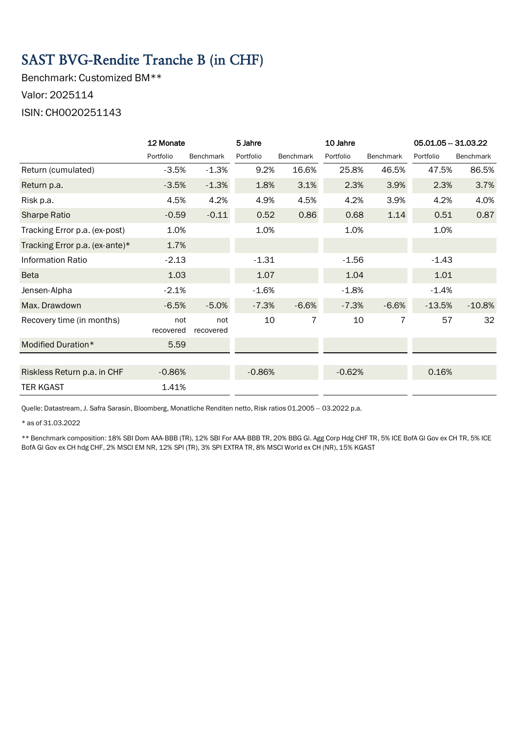# SAST BVG-Rendite Tranche B (in CHF)

Benchmark: Customized BM\*\* Valor: 2025114 ISIN: CH0020251143

|                                | 12 Monate        |                  | 5 Jahre   |                  | 10 Jahre  |           | 05.01.05 - 31.03.22 |                  |
|--------------------------------|------------------|------------------|-----------|------------------|-----------|-----------|---------------------|------------------|
|                                | Portfolio        | <b>Benchmark</b> | Portfolio | <b>Benchmark</b> | Portfolio | Benchmark | Portfolio           | <b>Benchmark</b> |
| Return (cumulated)             | $-3.5%$          | $-1.3%$          | 9.2%      | 16.6%            | 25.8%     | 46.5%     | 47.5%               | 86.5%            |
| Return p.a.                    | $-3.5%$          | $-1.3%$          | 1.8%      | 3.1%             | 2.3%      | 3.9%      | 2.3%                | 3.7%             |
| Risk p.a.                      | 4.5%             | 4.2%             | 4.9%      | 4.5%             | 4.2%      | 3.9%      | 4.2%                | 4.0%             |
| <b>Sharpe Ratio</b>            | $-0.59$          | $-0.11$          | 0.52      | 0.86             | 0.68      | 1.14      | 0.51                | 0.87             |
| Tracking Error p.a. (ex-post)  | 1.0%             |                  | 1.0%      |                  | 1.0%      |           | 1.0%                |                  |
| Tracking Error p.a. (ex-ante)* | 1.7%             |                  |           |                  |           |           |                     |                  |
| <b>Information Ratio</b>       | $-2.13$          |                  | $-1.31$   |                  | $-1.56$   |           | $-1.43$             |                  |
| Beta                           | 1.03             |                  | 1.07      |                  | 1.04      |           | 1.01                |                  |
| Jensen-Alpha                   | $-2.1%$          |                  | $-1.6%$   |                  | $-1.8%$   |           | $-1.4%$             |                  |
| Max. Drawdown                  | $-6.5%$          | $-5.0%$          | $-7.3%$   | $-6.6%$          | $-7.3%$   | $-6.6%$   | $-13.5%$            | $-10.8%$         |
| Recovery time (in months)      | not<br>recovered | not<br>recovered | 10        | 7                | 10        | 7         | 57                  | 32               |
| Modified Duration*             | 5.59             |                  |           |                  |           |           |                     |                  |
|                                |                  |                  |           |                  |           |           |                     |                  |
| Riskless Return p.a. in CHF    | $-0.86%$         |                  | $-0.86%$  |                  | $-0.62%$  |           | 0.16%               |                  |
| <b>TER KGAST</b>               | 1.41%            |                  |           |                  |           |           |                     |                  |

Quelle: Datastream, J. Safra Sarasin, Bloomberg, Monatliche Renditen netto, Risk ratios 01.2005 -- 03.2022 p.a.

\* as of 31.03.2022

\*\* Benchmark composition: 18% SBI Dom AAA-BBB (TR), 12% SBI For AAA-BBB TR, 20% BBG Gl. Agg Corp Hdg CHF TR, 5% ICE BofA Gl Gov ex CH TR, 5% ICE BofA Gl Gov ex CH hdg CHF, 2% MSCI EM NR, 12% SPI (TR), 3% SPI EXTRA TR, 8% MSCI World ex CH (NR), 15% KGAST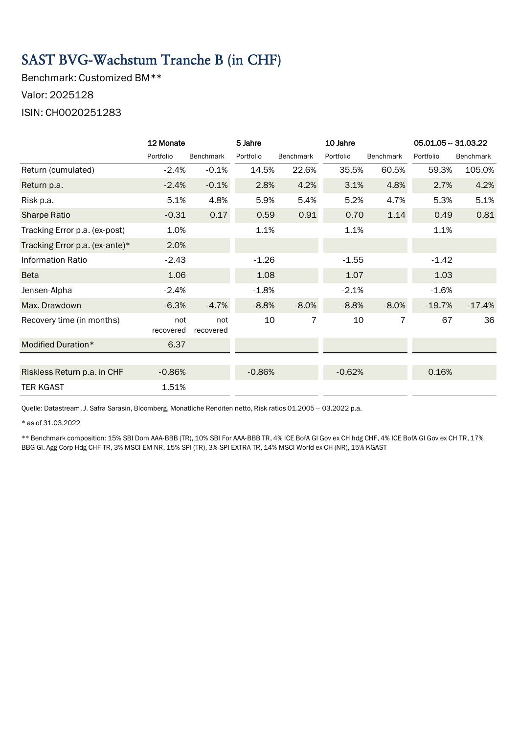#### SAST BVG-Wachstum Tranche B (in CHF)

Benchmark: Customized BM\*\* Valor: 2025128 ISIN: CH0020251283

|                                | 12 Monate        |                  | 5 Jahre   |                  | 10 Jahre  |                  | 05.01.05 - 31.03.22 |           |
|--------------------------------|------------------|------------------|-----------|------------------|-----------|------------------|---------------------|-----------|
|                                | Portfolio        | Benchmark        | Portfolio | <b>Benchmark</b> | Portfolio | <b>Benchmark</b> | Portfolio           | Benchmark |
| Return (cumulated)             | $-2.4%$          | $-0.1%$          | 14.5%     | 22.6%            | 35.5%     | 60.5%            | 59.3%               | 105.0%    |
| Return p.a.                    | $-2.4%$          | $-0.1%$          | 2.8%      | 4.2%             | 3.1%      | 4.8%             | 2.7%                | 4.2%      |
| Risk p.a.                      | 5.1%             | 4.8%             | 5.9%      | 5.4%             | 5.2%      | 4.7%             | 5.3%                | 5.1%      |
| <b>Sharpe Ratio</b>            | $-0.31$          | 0.17             | 0.59      | 0.91             | 0.70      | 1.14             | 0.49                | 0.81      |
| Tracking Error p.a. (ex-post)  | 1.0%             |                  | 1.1%      |                  | 1.1%      |                  | 1.1%                |           |
| Tracking Error p.a. (ex-ante)* | 2.0%             |                  |           |                  |           |                  |                     |           |
| <b>Information Ratio</b>       | $-2.43$          |                  | $-1.26$   |                  | $-1.55$   |                  | $-1.42$             |           |
| <b>Beta</b>                    | 1.06             |                  | 1.08      |                  | 1.07      |                  | 1.03                |           |
| Jensen-Alpha                   | $-2.4%$          |                  | $-1.8%$   |                  | $-2.1%$   |                  | $-1.6%$             |           |
| Max. Drawdown                  | $-6.3%$          | $-4.7%$          | $-8.8%$   | $-8.0%$          | $-8.8%$   | $-8.0%$          | $-19.7%$            | $-17.4%$  |
| Recovery time (in months)      | not<br>recovered | not<br>recovered | 10        | 7                | 10        | 7                | 67                  | 36        |
| Modified Duration*             | 6.37             |                  |           |                  |           |                  |                     |           |
|                                |                  |                  |           |                  |           |                  |                     |           |
| Riskless Return p.a. in CHF    | $-0.86%$         |                  | $-0.86%$  |                  | $-0.62%$  |                  | 0.16%               |           |
| <b>TER KGAST</b>               | 1.51%            |                  |           |                  |           |                  |                     |           |

Quelle: Datastream, J. Safra Sarasin, Bloomberg, Monatliche Renditen netto, Risk ratios 01.2005 -- 03.2022 p.a.

\* as of 31.03.2022

\*\* Benchmark composition: 15% SBI Dom AAA-BBB (TR), 10% SBI For AAA-BBB TR, 4% ICE BofA Gl Gov ex CH hdg CHF, 4% ICE BofA Gl Gov ex CH TR, 17% BBG Gl. Agg Corp Hdg CHF TR, 3% MSCI EM NR, 15% SPI (TR), 3% SPI EXTRA TR, 14% MSCI World ex CH (NR), 15% KGAST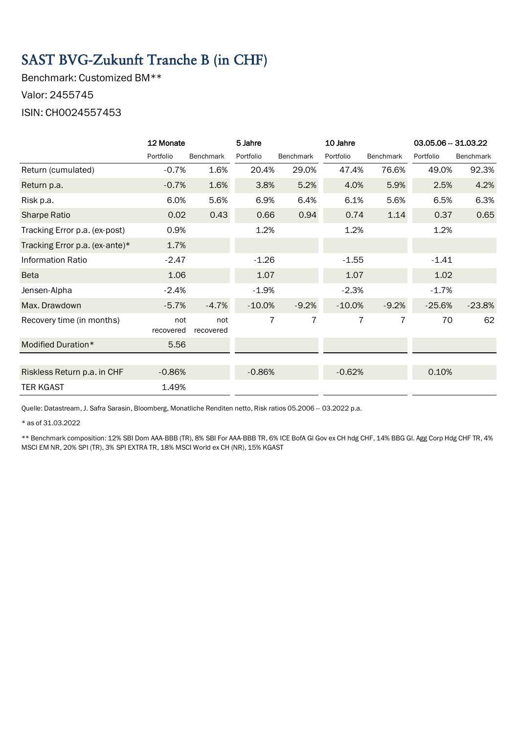# SAST BVG-Zukunft Tranche B (in CHF)

Benchmark: Customized BM\*\* Valor: 2455745 ISIN: CH0024557453

|                                | 12 Monate        |                  | 5 Jahre   |                  | 10 Jahre  |                  | 03.05.06 - 31.03.22 |           |
|--------------------------------|------------------|------------------|-----------|------------------|-----------|------------------|---------------------|-----------|
|                                | Portfolio        | <b>Benchmark</b> | Portfolio | <b>Benchmark</b> | Portfolio | <b>Benchmark</b> | Portfolio           | Benchmark |
| Return (cumulated)             | $-0.7%$          | 1.6%             | 20.4%     | 29.0%            | 47.4%     | 76.6%            | 49.0%               | 92.3%     |
| Return p.a.                    | $-0.7%$          | 1.6%             | 3.8%      | 5.2%             | 4.0%      | 5.9%             | 2.5%                | 4.2%      |
| Risk p.a.                      | 6.0%             | 5.6%             | 6.9%      | 6.4%             | 6.1%      | 5.6%             | 6.5%                | 6.3%      |
| <b>Sharpe Ratio</b>            | 0.02             | 0.43             | 0.66      | 0.94             | 0.74      | 1.14             | 0.37                | 0.65      |
| Tracking Error p.a. (ex-post)  | 0.9%             |                  | 1.2%      |                  | 1.2%      |                  | 1.2%                |           |
| Tracking Error p.a. (ex-ante)* | 1.7%             |                  |           |                  |           |                  |                     |           |
| Information Ratio              | $-2.47$          |                  | $-1.26$   |                  | $-1.55$   |                  | $-1.41$             |           |
| <b>Beta</b>                    | 1.06             |                  | 1.07      |                  | 1.07      |                  | 1.02                |           |
| Jensen-Alpha                   | $-2.4%$          |                  | $-1.9%$   |                  | $-2.3%$   |                  | $-1.7%$             |           |
| Max. Drawdown                  | $-5.7%$          | $-4.7%$          | $-10.0%$  | $-9.2%$          | $-10.0%$  | $-9.2%$          | $-25.6%$            | $-23.8%$  |
| Recovery time (in months)      | not<br>recovered | not<br>recovered | 7         | 7                | 7         | 7                | 70                  | 62        |
| Modified Duration*             | 5.56             |                  |           |                  |           |                  |                     |           |
|                                |                  |                  |           |                  |           |                  |                     |           |
| Riskless Return p.a. in CHF    | $-0.86%$         |                  | $-0.86%$  |                  | $-0.62%$  |                  | 0.10%               |           |
| TER KGAST                      | 1.49%            |                  |           |                  |           |                  |                     |           |

Quelle: Datastream, J. Safra Sarasin, Bloomberg, Monatliche Renditen netto, Risk ratios 05.2006 -- 03.2022 p.a.

\* as of 31.03.2022

\*\* Benchmark composition: 12% SBI Dom AAA-BBB (TR), 8% SBI For AAA-BBB TR, 6% ICE BofA Gl Gov ex CH hdg CHF, 14% BBG Gl. Agg Corp Hdg CHF TR, 4% MSCI EM NR, 20% SPI (TR), 3% SPI EXTRA TR, 18% MSCI World ex CH (NR), 15% KGAST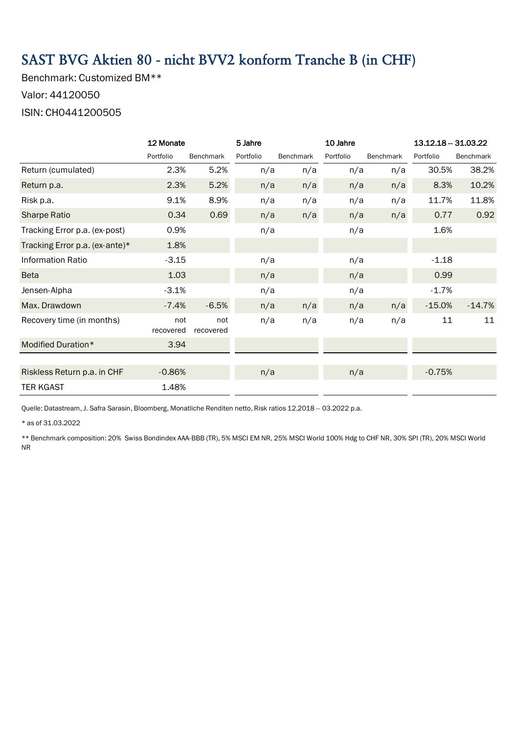## SAST BVG Aktien 80 - nicht BVV2 konform Tranche B (in CHF)

Benchmark: Customized BM\*\* Valor: 44120050 ISIN: CH0441200505

|                                | 12 Monate        |                  | 5 Jahre   |                  | 10 Jahre  |                  | 13.12.18 - 31.03.22 |                  |
|--------------------------------|------------------|------------------|-----------|------------------|-----------|------------------|---------------------|------------------|
|                                | Portfolio        | <b>Benchmark</b> | Portfolio | <b>Benchmark</b> | Portfolio | <b>Benchmark</b> | Portfolio           | <b>Benchmark</b> |
| Return (cumulated)             | 2.3%             | 5.2%             | n/a       | n/a              | n/a       | n/a              | 30.5%               | 38.2%            |
| Return p.a.                    | 2.3%             | 5.2%             | n/a       | n/a              | n/a       | n/a              | 8.3%                | 10.2%            |
| Risk p.a.                      | 9.1%             | 8.9%             | n/a       | n/a              | n/a       | n/a              | 11.7%               | 11.8%            |
| <b>Sharpe Ratio</b>            | 0.34             | 0.69             | n/a       | n/a              | n/a       | n/a              | 0.77                | 0.92             |
| Tracking Error p.a. (ex-post)  | 0.9%             |                  | n/a       |                  | n/a       |                  | 1.6%                |                  |
| Tracking Error p.a. (ex-ante)* | 1.8%             |                  |           |                  |           |                  |                     |                  |
| <b>Information Ratio</b>       | $-3.15$          |                  | n/a       |                  | n/a       |                  | $-1.18$             |                  |
| <b>Beta</b>                    | 1.03             |                  | n/a       |                  | n/a       |                  | 0.99                |                  |
| Jensen-Alpha                   | $-3.1%$          |                  | n/a       |                  | n/a       |                  | $-1.7%$             |                  |
| Max. Drawdown                  | $-7.4%$          | $-6.5%$          | n/a       | n/a              | n/a       | n/a              | $-15.0%$            | $-14.7%$         |
| Recovery time (in months)      | not<br>recovered | not<br>recovered | n/a       | n/a              | n/a       | n/a              | 11                  | 11               |
| Modified Duration*             | 3.94             |                  |           |                  |           |                  |                     |                  |
|                                |                  |                  |           |                  |           |                  |                     |                  |
| Riskless Return p.a. in CHF    | $-0.86%$         |                  | n/a       |                  | n/a       |                  | $-0.75%$            |                  |
| <b>TER KGAST</b>               | 1.48%            |                  |           |                  |           |                  |                     |                  |

Quelle: Datastream, J. Safra Sarasin, Bloomberg, Monatliche Renditen netto, Risk ratios 12.2018 -- 03.2022 p.a.

\* as of 31.03.2022

\*\* Benchmark composition: 20% Swiss Bondindex AAA-BBB (TR), 5% MSCI EM NR, 25% MSCI World 100% Hdg to CHF NR, 30% SPI (TR), 20% MSCI World NR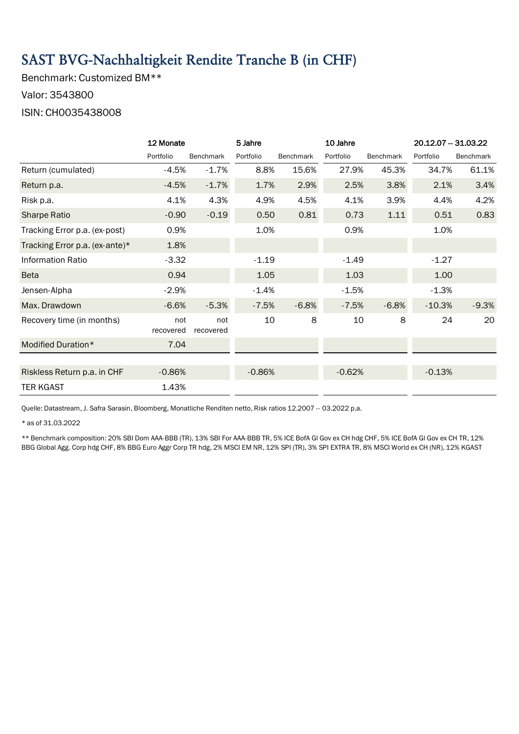### SAST BVG-Nachhaltigkeit Rendite Tranche B (in CHF)

Benchmark: Customized BM\*\* Valor: 3543800

#### ISIN: CH0035438008

|                                | 12 Monate        |                  | 5 Jahre   |                  | 10 Jahre  |                  | 20.12.07 - 31.03.22 |                  |
|--------------------------------|------------------|------------------|-----------|------------------|-----------|------------------|---------------------|------------------|
|                                | Portfolio        | <b>Benchmark</b> | Portfolio | <b>Benchmark</b> | Portfolio | <b>Benchmark</b> | Portfolio           | <b>Benchmark</b> |
| Return (cumulated)             | $-4.5%$          | $-1.7%$          | 8.8%      | 15.6%            | 27.9%     | 45.3%            | 34.7%               | 61.1%            |
| Return p.a.                    | $-4.5%$          | $-1.7%$          | 1.7%      | 2.9%             | 2.5%      | 3.8%             | 2.1%                | 3.4%             |
| Risk p.a.                      | 4.1%             | 4.3%             | 4.9%      | 4.5%             | 4.1%      | 3.9%             | 4.4%                | 4.2%             |
| <b>Sharpe Ratio</b>            | $-0.90$          | $-0.19$          | 0.50      | 0.81             | 0.73      | 1.11             | 0.51                | 0.83             |
| Tracking Error p.a. (ex-post)  | 0.9%             |                  | 1.0%      |                  | 0.9%      |                  | 1.0%                |                  |
| Tracking Error p.a. (ex-ante)* | 1.8%             |                  |           |                  |           |                  |                     |                  |
| <b>Information Ratio</b>       | $-3.32$          |                  | $-1.19$   |                  | $-1.49$   |                  | $-1.27$             |                  |
| <b>Beta</b>                    | 0.94             |                  | 1.05      |                  | 1.03      |                  | 1.00                |                  |
| Jensen-Alpha                   | $-2.9%$          |                  | $-1.4%$   |                  | $-1.5%$   |                  | $-1.3%$             |                  |
| Max. Drawdown                  | $-6.6%$          | $-5.3%$          | $-7.5%$   | $-6.8%$          | $-7.5%$   | $-6.8%$          | $-10.3%$            | $-9.3%$          |
| Recovery time (in months)      | not<br>recovered | not<br>recovered | 10        | 8                | 10        | 8                | 24                  | 20               |
| Modified Duration*             | 7.04             |                  |           |                  |           |                  |                     |                  |
|                                |                  |                  |           |                  |           |                  |                     |                  |
| Riskless Return p.a. in CHF    | $-0.86%$         |                  | $-0.86%$  |                  | $-0.62%$  |                  | $-0.13%$            |                  |
| <b>TER KGAST</b>               | 1.43%            |                  |           |                  |           |                  |                     |                  |

Quelle: Datastream, J. Safra Sarasin, Bloomberg, Monatliche Renditen netto, Risk ratios 12.2007 -- 03.2022 p.a.

\* as of 31.03.2022

\*\* Benchmark composition: 20% SBI Dom AAA-BBB (TR), 13% SBI For AAA-BBB TR, 5% ICE BofA Gl Gov ex CH hdg CHF, 5% ICE BofA Gl Gov ex CH TR, 12% BBG Global Agg. Corp hdg CHF, 8% BBG Euro Aggr Corp TR hdg, 2% MSCI EM NR, 12% SPI (TR), 3% SPI EXTRA TR, 8% MSCI World ex CH (NR), 12% KGAST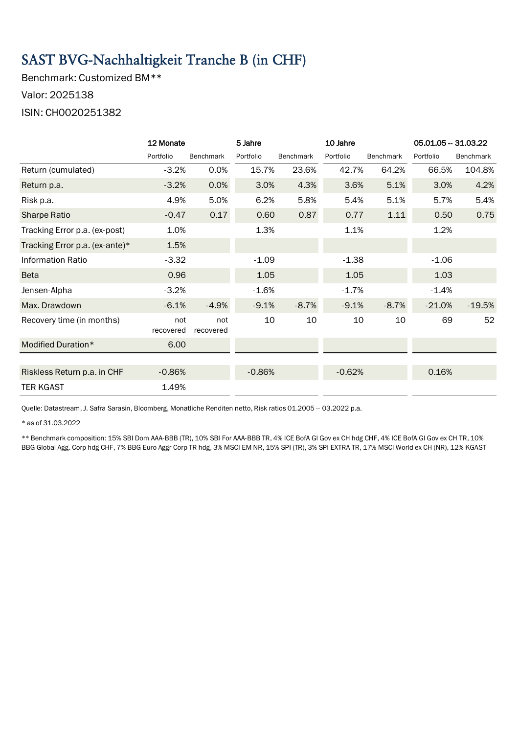### SAST BVG-Nachhaltigkeit Tranche B (in CHF)

Benchmark: Customized BM\*\* Valor: 2025138

#### ISIN: CH0020251382

|                                | 12 Monate        |                  | 5 Jahre   |                  | 10 Jahre  |                  | 05.01.05 - 31.03.22 |           |
|--------------------------------|------------------|------------------|-----------|------------------|-----------|------------------|---------------------|-----------|
|                                | Portfolio        | <b>Benchmark</b> | Portfolio | <b>Benchmark</b> | Portfolio | <b>Benchmark</b> | Portfolio           | Benchmark |
| Return (cumulated)             | $-3.2%$          | 0.0%             | 15.7%     | 23.6%            | 42.7%     | 64.2%            | 66.5%               | 104.8%    |
| Return p.a.                    | $-3.2%$          | 0.0%             | 3.0%      | 4.3%             | 3.6%      | 5.1%             | 3.0%                | 4.2%      |
| Risk p.a.                      | 4.9%             | 5.0%             | 6.2%      | 5.8%             | 5.4%      | 5.1%             | 5.7%                | 5.4%      |
| Sharpe Ratio                   | $-0.47$          | 0.17             | 0.60      | 0.87             | 0.77      | 1.11             | 0.50                | 0.75      |
| Tracking Error p.a. (ex-post)  | 1.0%             |                  | 1.3%      |                  | 1.1%      |                  | 1.2%                |           |
| Tracking Error p.a. (ex-ante)* | 1.5%             |                  |           |                  |           |                  |                     |           |
| <b>Information Ratio</b>       | $-3.32$          |                  | $-1.09$   |                  | $-1.38$   |                  | $-1.06$             |           |
| <b>Beta</b>                    | 0.96             |                  | 1.05      |                  | 1.05      |                  | 1.03                |           |
| Jensen-Alpha                   | $-3.2%$          |                  | $-1.6%$   |                  | $-1.7%$   |                  | $-1.4%$             |           |
| Max. Drawdown                  | $-6.1%$          | $-4.9%$          | $-9.1%$   | $-8.7%$          | $-9.1%$   | $-8.7%$          | $-21.0%$            | $-19.5%$  |
| Recovery time (in months)      | not<br>recovered | not<br>recovered | 10        | 10               | 10        | 10               | 69                  | 52        |
| Modified Duration*             | 6.00             |                  |           |                  |           |                  |                     |           |
|                                |                  |                  |           |                  |           |                  |                     |           |
| Riskless Return p.a. in CHF    | $-0.86%$         |                  | $-0.86%$  |                  | $-0.62%$  |                  | 0.16%               |           |
| <b>TER KGAST</b>               | 1.49%            |                  |           |                  |           |                  |                     |           |

Quelle: Datastream, J. Safra Sarasin, Bloomberg, Monatliche Renditen netto, Risk ratios 01.2005 -- 03.2022 p.a.

\* as of 31.03.2022

\*\* Benchmark composition: 15% SBI Dom AAA-BBB (TR), 10% SBI For AAA-BBB TR, 4% ICE BofA Gl Gov ex CH hdg CHF, 4% ICE BofA Gl Gov ex CH TR, 10% BBG Global Agg. Corp hdg CHF, 7% BBG Euro Aggr Corp TR hdg, 3% MSCI EM NR, 15% SPI (TR), 3% SPI EXTRA TR, 17% MSCI World ex CH (NR), 12% KGAST